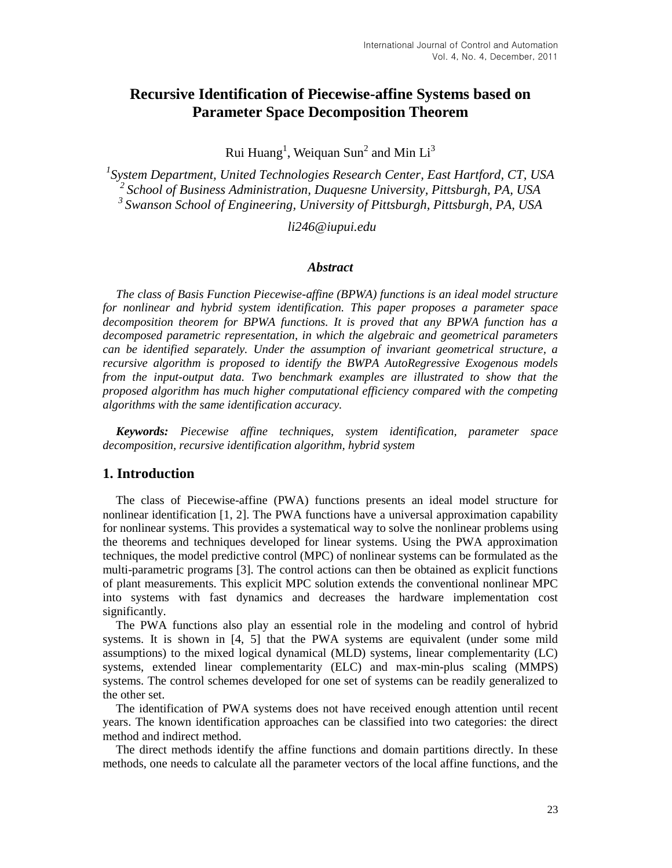# **Recursive Identification of Piecewise-affine Systems based on Parameter Space Decomposition Theorem**

Rui Huang<sup>1</sup>, Weiquan Sun<sup>2</sup> and Min Li<sup>3</sup>

*1 System Department, United Technologies Research Center, East Hartford, CT, USA <sup>2</sup>School of Business Administration, Duquesne University, Pittsburgh, PA, USA <sup>3</sup>Swanson School of Engineering, University of Pittsburgh, Pittsburgh, PA, USA*

*li246@iupui.edu*

#### *Abstract*

*The class of Basis Function Piecewise-affine (BPWA) functions is an ideal model structure for nonlinear and hybrid system identification. This paper proposes a parameter space decomposition theorem for BPWA functions. It is proved that any BPWA function has a decomposed parametric representation, in which the algebraic and geometrical parameters can be identified separately. Under the assumption of invariant geometrical structure, a recursive algorithm is proposed to identify the BWPA AutoRegressive Exogenous models from the input-output data. Two benchmark examples are illustrated to show that the proposed algorithm has much higher computational efficiency compared with the competing algorithms with the same identification accuracy.*

*Keywords: Piecewise affine techniques, system identification, parameter space decomposition, recursive identification algorithm, hybrid system*

#### **1. Introduction**

The class of Piecewise-affine (PWA) functions presents an ideal model structure for nonlinear identification [1, 2]. The PWA functions have a universal approximation capability for nonlinear systems. This provides a systematical way to solve the nonlinear problems using the theorems and techniques developed for linear systems. Using the PWA approximation techniques, the model predictive control (MPC) of nonlinear systems can be formulated as the multi-parametric programs [3]. The control actions can then be obtained as explicit functions of plant measurements. This explicit MPC solution extends the conventional nonlinear MPC into systems with fast dynamics and decreases the hardware implementation cost significantly.

The PWA functions also play an essential role in the modeling and control of hybrid systems. It is shown in [4, 5] that the PWA systems are equivalent (under some mild assumptions) to the mixed logical dynamical (MLD) systems, linear complementarity (LC) systems, extended linear complementarity (ELC) and max-min-plus scaling (MMPS) systems. The control schemes developed for one set of systems can be readily generalized to the other set.

The identification of PWA systems does not have received enough attention until recent years. The known identification approaches can be classified into two categories: the direct method and indirect method.

The direct methods identify the affine functions and domain partitions directly. In these methods, one needs to calculate all the parameter vectors of the local affine functions, and the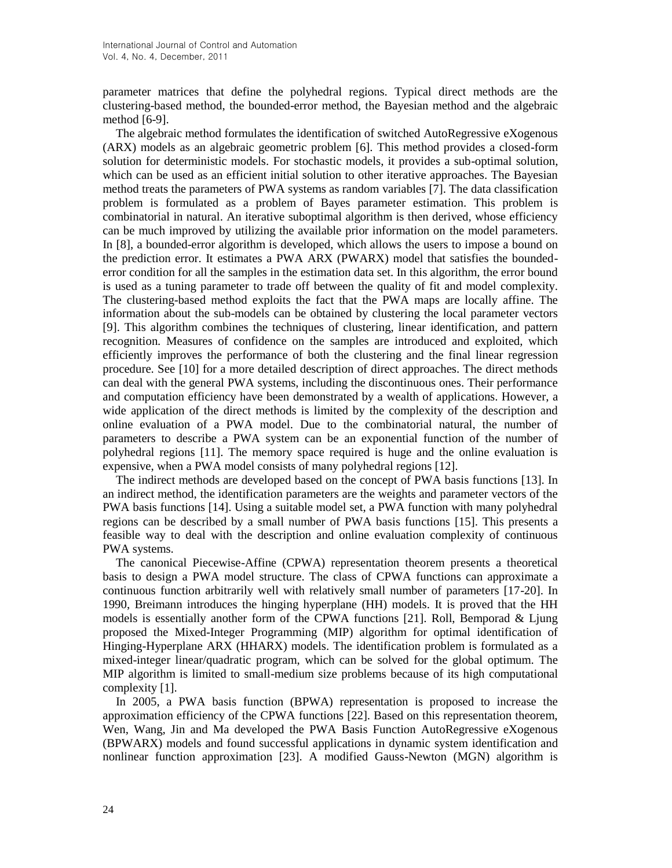parameter matrices that define the polyhedral regions. Typical direct methods are the clustering-based method, the bounded-error method, the Bayesian method and the algebraic method [6-9].

The algebraic method formulates the identification of switched AutoRegressive eXogenous (ARX) models as an algebraic geometric problem [6]. This method provides a closed-form solution for deterministic models. For stochastic models, it provides a sub-optimal solution, which can be used as an efficient initial solution to other iterative approaches. The Bayesian method treats the parameters of PWA systems as random variables [7]. The data classification problem is formulated as a problem of Bayes parameter estimation. This problem is combinatorial in natural. An iterative suboptimal algorithm is then derived, whose efficiency can be much improved by utilizing the available prior information on the model parameters. In [8], a bounded-error algorithm is developed, which allows the users to impose a bound on the prediction error. It estimates a PWA ARX (PWARX) model that satisfies the boundederror condition for all the samples in the estimation data set. In this algorithm, the error bound is used as a tuning parameter to trade off between the quality of fit and model complexity. The clustering-based method exploits the fact that the PWA maps are locally affine. The information about the sub-models can be obtained by clustering the local parameter vectors [9]. This algorithm combines the techniques of clustering, linear identification, and pattern recognition. Measures of confidence on the samples are introduced and exploited, which efficiently improves the performance of both the clustering and the final linear regression procedure. See [10] for a more detailed description of direct approaches. The direct methods can deal with the general PWA systems, including the discontinuous ones. Their performance and computation efficiency have been demonstrated by a wealth of applications. However, a wide application of the direct methods is limited by the complexity of the description and online evaluation of a PWA model. Due to the combinatorial natural, the number of parameters to describe a PWA system can be an exponential function of the number of polyhedral regions [11]. The memory space required is huge and the online evaluation is expensive, when a PWA model consists of many polyhedral regions [12].

The indirect methods are developed based on the concept of PWA basis functions [13]. In an indirect method, the identification parameters are the weights and parameter vectors of the PWA basis functions [14]. Using a suitable model set, a PWA function with many polyhedral regions can be described by a small number of PWA basis functions [15]. This presents a feasible way to deal with the description and online evaluation complexity of continuous PWA systems.

The canonical Piecewise-Affine (CPWA) representation theorem presents a theoretical basis to design a PWA model structure. The class of CPWA functions can approximate a continuous function arbitrarily well with relatively small number of parameters [17-20]. In 1990, Breimann introduces the hinging hyperplane (HH) models. It is proved that the HH models is essentially another form of the CPWA functions [21]. Roll, Bemporad  $\&$  Ljung proposed the Mixed-Integer Programming (MIP) algorithm for optimal identification of Hinging-Hyperplane ARX (HHARX) models. The identification problem is formulated as a mixed-integer linear/quadratic program, which can be solved for the global optimum. The MIP algorithm is limited to small-medium size problems because of its high computational complexity [1].

In 2005, a PWA basis function (BPWA) representation is proposed to increase the approximation efficiency of the CPWA functions [22]. Based on this representation theorem, Wen, Wang, Jin and Ma developed the PWA Basis Function AutoRegressive eXogenous (BPWARX) models and found successful applications in dynamic system identification and nonlinear function approximation [23]. A modified Gauss-Newton (MGN) algorithm is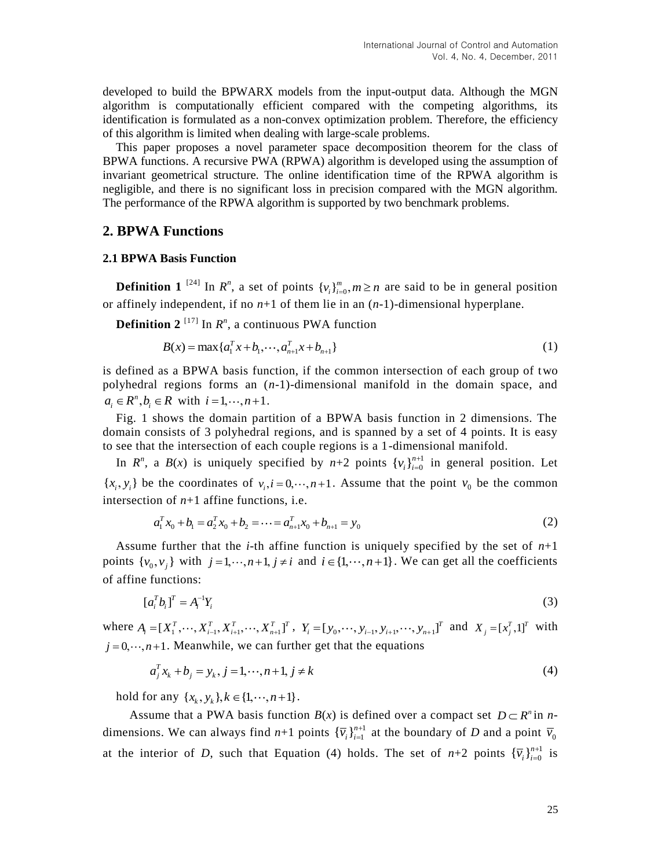developed to build the BPWARX models from the input-output data. Although the MGN algorithm is computationally efficient compared with the competing algorithms, its identification is formulated as a non-convex optimization problem. Therefore, the efficiency of this algorithm is limited when dealing with large-scale problems.

This paper proposes a novel parameter space decomposition theorem for the class of BPWA functions. A recursive PWA (RPWA) algorithm is developed using the assumption of invariant geometrical structure. The online identification time of the RPWA algorithm is negligible, and there is no significant loss in precision compared with the MGN algorithm. The performance of the RPWA algorithm is supported by two benchmark problems.

### **2. BPWA Functions**

#### **2.1 BPWA Basis Function**

**Definition 1** <sup>[24]</sup> In  $R^n$ , a set of points  $\{v_i\}_{i=0}^m$ ,  $m \ge n$  are said to be in general position or affinely independent, if no *n*+1 of them lie in an (*n*-1)-dimensional hyperplane.

**Definition 2**<sup>[17]</sup> In  $R^n$ , a continuous PWA function  $B(x) = \max\{a_1^T x + b_1, \dots, a_{n+1}^T x + b_{n+1}\}\$ 

$$
B(x) = \max\{a_1^T x + b_1, \cdots, a_{n+1}^T x + b_{n+1}\}\tag{1}
$$

is defined as a BPWA basis function, if the common intersection of each group of two polyhedral regions forms an (*n*-1)-dimensional manifold in the domain space, and  $a_i \in R^n, b_i \in R$  with  $i = 1, \dots, n+1$ .

Fig. 1 shows the domain partition of a BPWA basis function in 2 dimensions. The domain consists of 3 polyhedral regions, and is spanned by a set of 4 points. It is easy to see that the intersection of each couple regions is a 1-dimensional manifold.

In  $R^n$ , a  $B(x)$  is uniquely specified by  $n+2$  points  $\{v_i\}_{i=0}^{n+1}$  $\{v_i\}_{i=0}^{n+1}$  $\sum_{i=0}^{n+1}$  in general position. Let  $\{x_i, y_i\}$  be the coordinates of  $v_i, i = 0, \dots, n+1$ . Assume that the point  $v_0$  be the common

intersection of *n*+1 affine functions, i.e.  
\n
$$
a_1^T x_0 + b_1 = a_2^T x_0 + b_2 = \dots = a_{n+1}^T x_0 + b_{n+1} = y_0
$$
\n(2)

Assume further that the *i*-th affine function is uniquely specified by the set of *n*+1 points  $\{v_0, v_j\}$  with  $j = 1, \dots, n+1, j \neq i$  and  $i \in \{1, \dots, n+1\}$ . We can get all the coefficients of affine functions:

$$
[a_i^T b_i]^T = A_i^{-1} Y_i \tag{3}
$$

where  $A_i = [X_1^T, \dots, X_{i-1}^T, X_{i+1}^T, \dots, X_{n+1}^T]^T$ ,  $Y_i = [y_0, \dots, y_{i-1}, y_{i+1}, \dots, y_{n+1}]^T$  and  $X_j = [x_j^T, 1]^T$  with  $j = 0, \dots, n+1$ . Meanwhile, we can further get that the equations

$$
a_j^T x_k + b_j = y_k, j = 1, \dots, n+1, j \neq k
$$
 (4)

hold for any  $\{x_k, y_k\}$ ,  $k \in \{1, \dots, n+1\}$ .

Assume that a PWA basis function  $B(x)$  is defined over a compact set  $D \subset R^n$  in *n*dimensions. We can always find  $n+1$  points  $\{\overline{v}_i\}_{i=1}^{n+1}$  $\{\overline{v}_i\}_{i=1}^{n+1}$  $\overline{v}_{0}^{n+1}$  at the boundary of *D* and a point  $\overline{v}_{0}$ at the interior of *D*, such that Equation (4) holds. The set of  $n+2$  points  ${\overline{v}_i}_{i=0}^{n+1}$  $\{\overline{v}_i\}_{i=0}^{n+1}$  $_{=0}^{i+1}$  is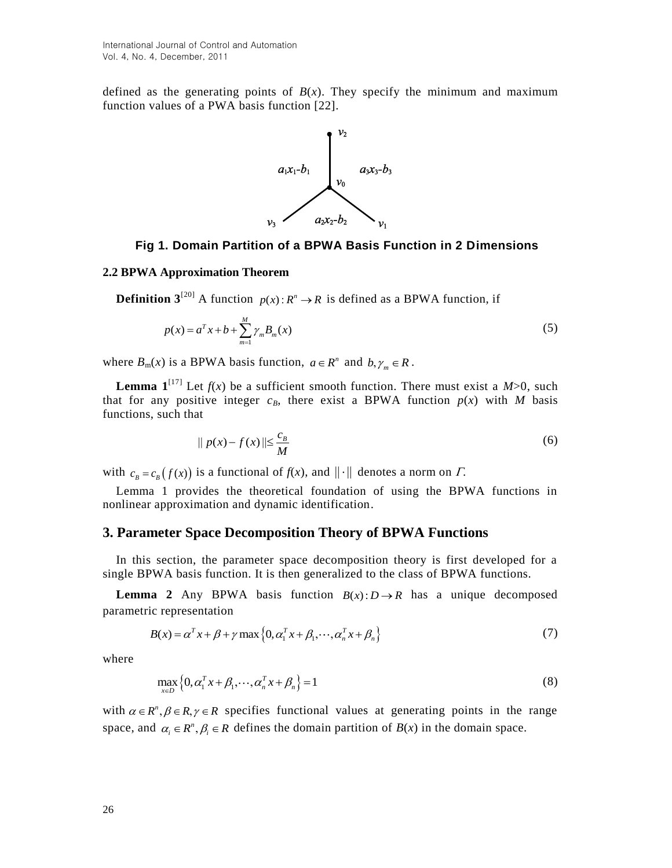defined as the generating points of  $B(x)$ . They specify the minimum and maximum function values of a PWA basis function [22].



#### **Fig 1. Domain Partition of a BPWA Basis Function in 2 Dimensions**

#### **2.2 BPWA Approximation Theorem**

**Definition 3**<sup>[20]</sup> A function  $p(x): R^n \to R$  is defined as a BPWA function, if

$$
p(x) = a^T x + b + \sum_{m=1}^{M} \gamma_m B_m(x)
$$
 (5)

where  $B_m(x)$  is a BPWA basis function,  $a \in R^n$  and  $b, \gamma_m \in R$ .

**Lemma**  $\mathbf{1}^{[17]}$  Let  $f(x)$  be a sufficient smooth function. There must exist a  $M>0$ , such that for any positive integer  $c_B$ , there exist a BPWA function  $p(x)$  with *M* basis functions, such that

$$
\|p(x) - f(x)\| \le \frac{c_B}{M}
$$
\n<sup>(6)</sup>

with  $c_B = c_B(f(x))$  is a functional of  $f(x)$ , and  $\|\cdot\|$  denotes a norm on  $\Gamma$ .

Lemma 1 provides the theoretical foundation of using the BPWA functions in nonlinear approximation and dynamic identification.

## **3. Parameter Space Decomposition Theory of BPWA Functions**

In this section, the parameter space decomposition theory is first developed for a single BPWA basis function. It is then generalized to the class of BPWA functions.

**Lemma 2** Any BPWA basis function  $B(x): D \to R$  has a unique decomposed parametric representation

ic representation  
\n
$$
B(x) = \alpha^{T} x + \beta + \gamma \max \{0, \alpha_{1}^{T} x + \beta_{1}, \cdots, \alpha_{n}^{T} x + \beta_{n} \}
$$
\n(7)

where

$$
\max_{x \in D} \left\{ 0, \alpha_1^T x + \beta_1, \cdots, \alpha_n^T x + \beta_n \right\} = 1
$$
\n(8)

with  $\alpha \in R^n$ ,  $\beta \in R$ ,  $\gamma \in R$  specifies functional values at generating points in the range space, and  $\alpha_i \in \mathbb{R}^n$ ,  $\beta_i \in \mathbb{R}$  defines the domain partition of  $B(x)$  in the domain space.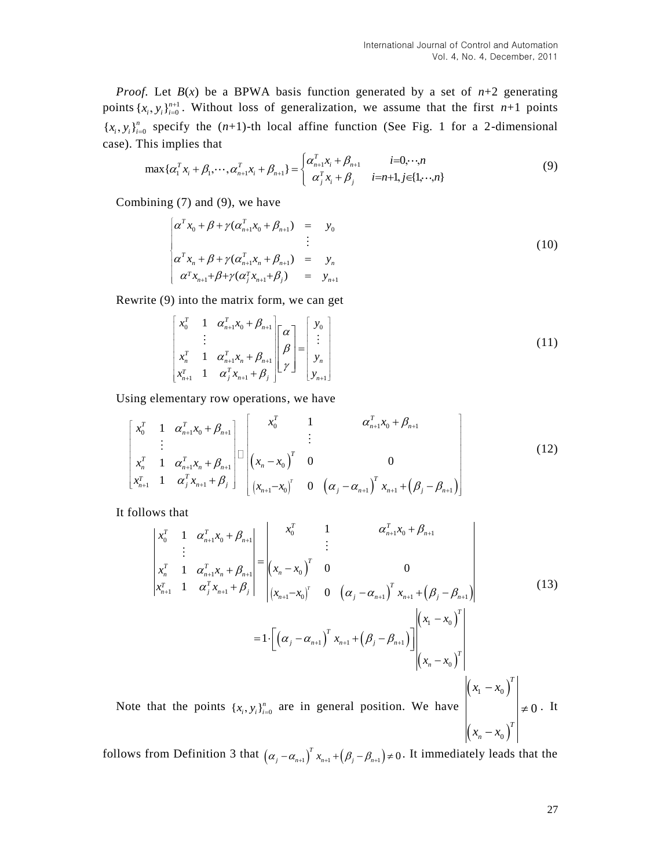*Proof.* Let  $B(x)$  be a BPWA basis function generated by a set of  $n+2$  generating points  $\{x_i, y_i\}_{i=0}^{n+1}$ . Without loss of generalization, we assume that the first *n*+1 points { $x_i$ ,  $y_i$ } $_{i=0}^n$  specify the (*n*+1)-th local affine function (See Fig. 1 for a 2-dimensional case). This implies that<br>  $\max{\{\alpha_1^T x_i + \beta_1, \cdots, \alpha_{n+1}^T x_i + \beta_{n+1}\}} = \begin{cases} \alpha_{n+1}^T x_i + \beta_{n+1} & i=0, \cdots, n \\ \alpha_{n+1}^T x_i + \beta_{n+1$ 

case). This implies that  
\n
$$
\max{\{\alpha_{1}^{T} x_{i} + \beta_{1}, \cdots, \alpha_{n+1}^{T} x_{i} + \beta_{n+1}\}} = \begin{cases} \alpha_{n+1}^{T} x_{i} + \beta_{n+1} & i=0, \cdots, n \\ \alpha_{j}^{T} x_{i} + \beta_{j} & i=n+1, j \in \{1, \cdots, n\} \end{cases}
$$
\n(9)

Combining (7) and (9), we have

$$
\begin{cases}\n\alpha^T x_0 + \beta + \gamma (\alpha_{n+1}^T x_0 + \beta_{n+1}) &= y_0 \\
\vdots \\
\alpha^T x_n + \beta + \gamma (\alpha_{n+1}^T x_n + \beta_{n+1}) &= y_n \\
\alpha^T x_{n+1} + \beta + \gamma (\alpha_j^T x_{n+1} + \beta_j) &= y_{n+1}\n\end{cases} (10)
$$

Rewrite (9) into the matrix form, we can get

$$
\begin{bmatrix} x_0^T & 1 & \alpha_{n+1}^T x_0 + \beta_{n+1} \\ \vdots & \vdots \\ x_n^T & 1 & \alpha_{n+1}^T x_n + \beta_{n+1} \\ x_{n+1}^T & 1 & \alpha_j^T x_{n+1} + \beta_j \end{bmatrix} \begin{bmatrix} \alpha \\ \beta \\ \gamma \end{bmatrix} = \begin{bmatrix} y_0 \\ \vdots \\ y_n \\ y_{n+1} \end{bmatrix}
$$
 (11)

Using elementary row operations, we have  
\n
$$
\begin{bmatrix}\nx_0^T & 1 & \alpha_{n+1}^T x_0 + \beta_{n+1} \\
\vdots & \vdots & \vdots \\
x_n^T & 1 & \alpha_{n+1}^T x_n + \beta_{n+1} \\
x_{n+1}^T & 1 & \alpha_j^T x_{n+1} + \beta_j\n\end{bmatrix} \begin{bmatrix}\nx_0^T & 1 & \alpha_{n+1}^T x_0 + \beta_{n+1} \\
\vdots & \vdots \\
\alpha_{n+1}^T x_0 + \beta_{n+1} \\
\vdots & \vdots \\
\alpha_{n+1}^T x_0 + \beta_{n+1}\n\end{bmatrix}
$$
\n(12)

It follows that

$$
\begin{vmatrix}\nx_1 & \frac{1}{2} (x_{n+1} & x_0) & \frac{1}{2} (x_n & x_{n+1}) & x_{n+1} (p_j & p_{n+1})\n\end{vmatrix}
$$
\n  
\n*Ans* that\n
$$
\begin{vmatrix}\nx_0^T & 1 & \alpha_{n+1}^T x_0 + \beta_{n+1} \\
\vdots & \vdots \\
x_n^T & 1 & \alpha_{n+1}^T x_n + \beta_{n+1} \\
\vdots & \vdots \\
x_{n+1}^T & 1 & \alpha_j^T x_{n+1} + \beta_j\n\end{vmatrix} = \begin{vmatrix}\nx_0^T & 1 & \alpha_{n+1}^T x_0 + \beta_{n+1} \\
\vdots & \vdots \\
\left(x_n - x_0\right)^T & 0 & 0 \\
\left(x_{n+1} - x_0\right)^T & 0 & \left(\alpha_j - \alpha_{n+1}\right)^T x_{n+1} + \left(\beta_j - \beta_{n+1}\right)\n\end{vmatrix} \begin{vmatrix}\nx_1 - x_0 \\
x_1 - x_0\n\end{vmatrix} \tag{13}
$$
\n
$$
= 1 \cdot \left[ \left(\alpha_j - \alpha_{n+1}\right)^T x_{n+1} + \left(\beta_j - \beta_{n+1}\right) \right] \begin{vmatrix}\n\left(x_1 - x_0\right)^T \\
\left(x_n - x_0\right)^T\n\end{vmatrix}
$$
\nthat the points  $\{x_i, y_i\}_{i=0}^n$  are in general position. We have\n
$$
\begin{vmatrix}\n\left(x_1 - x_0\right)^T \\
\left(x_1 - x_0\right)^T\n\end{vmatrix} \neq 0.
$$

Note th  ${x_i, y_i}_{i=0}^n$  $(x_n - x_0)$ 0 *T*  $x_n - x$ ≠

follows from Definition 3 that  $(\alpha_j - \alpha_{n+1})^T x_{n+1} + (\beta_j - \beta_{n+1}) \neq 0$ . It immediately leads that the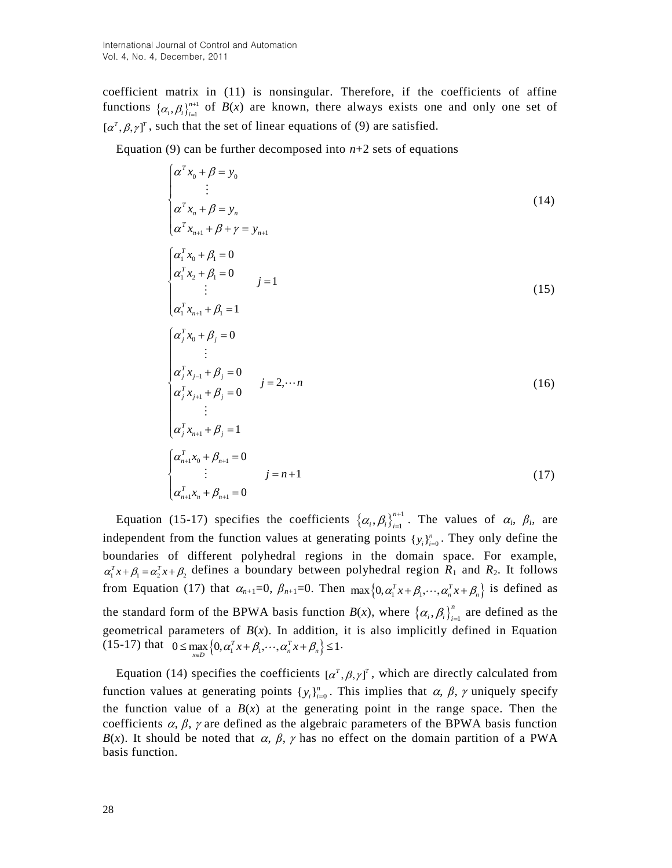coefficient matrix in (11) is nonsingular. Therefore, if the coefficients of affine functions  $\{\alpha_i, \beta_i\}_{i=1}^{n+1}$  $\left( \alpha_i, \beta_i \right)_{i=1}^{n+1}$  $B(x)$  are known, there always exists one and only one set of  $[\alpha^{\tau}, \beta, \gamma]^{\tau}$ , such that the set of linear equations of (9) are satisfied.

Equation (9) can be further decomposed into  $n+2$  sets of equations

$$
\begin{cases}\n\alpha^T x_0 + \beta = y_0 \\
\vdots \\
\alpha^T x_n + \beta = y_n \\
\alpha^T x_{n+1} + \beta + \gamma = y_{n+1}\n\end{cases}
$$
\n(14)  
\n
$$
\begin{cases}\n\alpha_1^T x_0 + \beta_1 = 0 \\
\alpha_1^T x_2 + \beta_1 = 0 \\
\vdots \\
\alpha_1^T x_{n+1} + \beta_1 = 1\n\end{cases}
$$
\n(15)  
\n
$$
\begin{cases}\n\alpha_j^T x_0 + \beta_j = 0 \\
\vdots \\
\alpha_j^T x_{j-1} + \beta_j = 0 \\
\vdots \\
\alpha_j^T x_{j+1} + \beta_j = 0\n\end{cases}
$$
\n(16)  
\n
$$
\begin{cases}\n\alpha_j^T x_{j+1} + \beta_j = 1 \\
\vdots \\
\alpha_j^T x_{n+1} + \beta_j = 1 \\
\vdots \\
\alpha_{n+1}^T x_0 + \beta_{n+1} = 0 \\
\vdots \\
\alpha_{n+1}^T x_n + \beta_{n+1} = 0\n\end{cases}
$$
\n(17)

Equation (15-17) specifies the coefficients  $\{\alpha_i, \beta_i\}_{i=1}^{n+1}$  $,\beta_i\big\rbrace_{i=1}^{n+1}$  $\left( \alpha_i, \beta_i \right)_{i=1}^{n+1}$  $\sum_{i=1}^{n+1}$ . The values of  $\alpha_i$ ,  $\beta_i$ , are independent from the function values at generating points  $\{y_i\}_{i=0}^n$ . They only define the boundaries of different polyhedral regions in the domain space. For example,  $\alpha_1^T x + \beta_1 = \alpha_2^T x + \beta_2$  defines a boundary between polyhedral region  $R_1$  and  $R_2$ . It follows from Equation (17) that  $\alpha_{n+1}=0$ ,  $\beta_{n+1}=0$ . Then  $\max\{0, \alpha_1^T x + \beta_1, \cdots, \alpha_n^T x + \beta_n\}$  is defined as the standard form of the BPWA basis function  $B(x)$ , where  $\{\alpha_i, \beta_i\}_{i=1}^n$  $\left( \alpha_i, \beta_i \right)_{i=1}^n$  are defined as the geometrical parameters of  $B(x)$ . In addition, it is also implicitly defined in Equation geometrical parameters of  $B(x)$ . In addition, it<br>(15-17) that  $0 \le \max_{x \in D} \left\{0, \alpha_1^T x + \beta_1, \dots, \alpha_n^T x + \beta_n \right\} \le 1$ .

Equation (14) specifies the coefficients  $[\alpha^T, \beta, \gamma]^T$ , which are directly calculated from function values at generating points  $\{y_i\}_{i=0}^n$ . This implies that  $\alpha$ ,  $\beta$ ,  $\gamma$  uniquely specify the function value of a  $B(x)$  at the generating point in the range space. Then the coefficients  $\alpha$ ,  $\beta$ ,  $\gamma$  are defined as the algebraic parameters of the BPWA basis function *B*(*x*). It should be noted that  $\alpha$ ,  $\beta$ ,  $\gamma$  has no effect on the domain partition of a PWA basis function.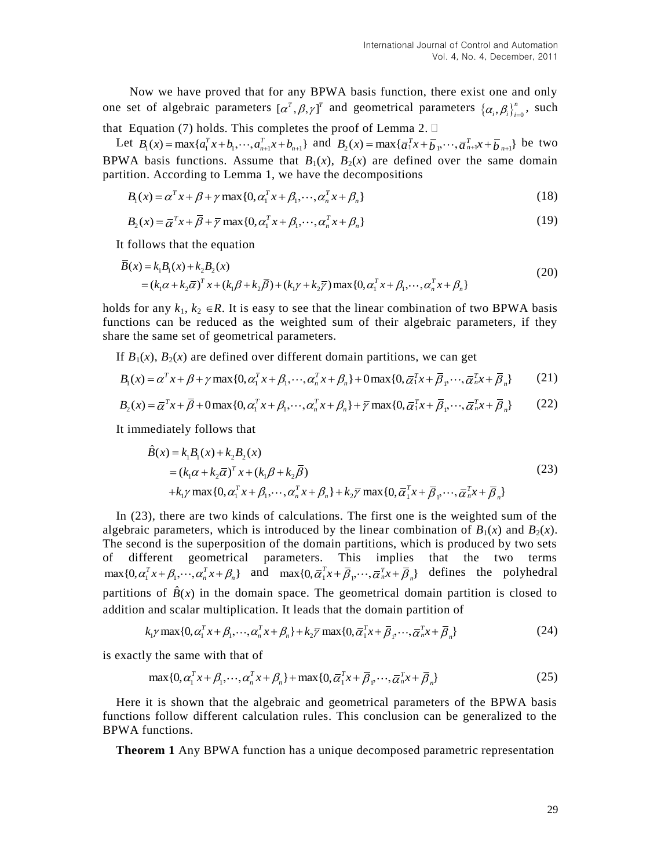Now we have proved that for any BPWA basis function, there exist one and only one set of algebraic parameters  $[\alpha^T, \beta, \gamma]^T$  and geometrical parameters  $\{\alpha_i, \beta_i\}_{i=0}^n$  $\left( \alpha_i, \beta_i \right)_{i=0}^n$ , such that Equation (7) holds. This completes the proof of Lemma 2.  $\square$ 

It Equation (7) holds. This completes the proof of Lemma 2.  $\Box$ <br>Let  $B_1(x) = \max\{a_1^T x + b_1, \dots, a_{n+1}^T x + b_{n+1}\}$  and  $B_2(x) = \max\{\overline{a}_1^T x + \overline{b}_1, \dots, \overline{a}_{n+1}^T x + \overline{b}_{n+1}\}$  be two BPWA basis functions. Assume that  $B_1(x)$ ,  $B_2(x)$  are defined over the same domain partition. According to Lemma 1, we have the decompositions  $B_1(x) = \alpha^T x + \beta + \gamma \max\{0, \alpha_1^T x + \beta_1, \dots, \alpha_n^T x + \beta_n\}$ 

$$
B_1(x) = \alpha^T x + \beta + \gamma \max\{0, \alpha_1^T x + \beta_1, \cdots, \alpha_n^T x + \beta_n\}
$$
\n(18)

$$
B_1(x) = \alpha^T x + \beta + \gamma \max\{0, \alpha_1^T x + \beta_1, \cdots, \alpha_n^T x + \beta_n\}
$$
  
\n
$$
B_2(x) = \overline{\alpha}^T x + \overline{\beta} + \overline{\gamma} \max\{0, \alpha_1^T x + \beta_1, \cdots, \alpha_n^T x + \beta_n\}
$$
\n(19)

$$
B_2(x) = \alpha^r x + \beta + \gamma \max\{0, \alpha_1 x + \beta_1, \cdots, \alpha_n x + \beta_n\}
$$
  
\nIt follows that the equation  
\n
$$
\overline{B}(x) = k_1 B_1(x) + k_2 B_2(x)
$$
\n
$$
= (k_1 \alpha + k_2 \overline{\alpha})^T x + (k_1 \beta + k_2 \overline{\beta}) + (k_1 \gamma + k_2 \overline{\gamma}) \max\{0, \alpha_1^T x + \beta_1, \cdots, \alpha_n^T x + \beta_n\}
$$
\n(20)

holds for any  $k_1, k_2 \in \mathbb{R}$ . It is easy to see that the linear combination of two BPWA basis functions can be reduced as the weighted sum of their algebraic parameters, if they share the same set of geometrical parameters.

The same set of geometrical parameters.  
\nIf 
$$
B_1(x)
$$
,  $B_2(x)$  are defined over different domain partitions, we can get  
\n
$$
B_1(x) = \alpha^T x + \beta + \gamma \max\{0, \alpha_1^T x + \beta_1, \cdots, \alpha_n^T x + \beta_n\} + 0 \max\{0, \overline{\alpha}_1^T x + \overline{\beta}_1, \cdots, \overline{\alpha}_n^T x + \overline{\beta}_n\}
$$
\n(21)  
\n
$$
B_2(x) = \overline{\alpha}^T x + \overline{\beta} + 0 \max\{0, \alpha_1^T x + \beta_1, \cdots, \alpha_n^T x + \beta_n\} + \overline{\gamma} \max\{0, \overline{\alpha}_1^T x + \overline{\beta}_1, \cdots, \overline{\alpha}_n^T x + \overline{\beta}_n\}
$$
\n(22)

$$
B_1(x) = \alpha x + \beta + \gamma \max\{0, \alpha_1 x + \beta_1, \cdots, \alpha_n x + \beta_n\} + \text{Omax}\{0, \alpha_1 x + \beta_1, \cdots, \alpha_n x + \beta_n\} \tag{21}
$$
\n
$$
B_2(x) = \overline{\alpha}^T x + \overline{\beta} + 0 \max\{0, \alpha_1^T x + \beta_1, \cdots, \alpha_n^T x + \beta_n\} + \overline{\gamma} \max\{0, \overline{\alpha}_1^T x + \overline{\beta}_1, \cdots, \overline{\alpha}_n^T x + \overline{\beta}_n\} \tag{22}
$$

It immediately follows that

$$
-a^{(x+p)+\text{of } (x,a_1x+b_1,\cdots,a_nx+p_n)+\text{that } (x,a_1x+p_1,\cdots,a_nx+p_n)}
$$
(22)  
nediately follows that  

$$
\hat{B}(x) = k_1B_1(x) + k_2B_2(x)
$$

$$
= (k_1\alpha + k_2\overline{\alpha})^T x + (k_1\beta + k_2\overline{\beta})
$$

$$
+k_1\gamma \max\{0, \alpha_1^T x + \beta_1, \cdots, \alpha_n^T x + \beta_n\} + k_2\overline{\gamma} \max\{0, \overline{\alpha}_1^T x + \overline{\beta}_1, \cdots, \overline{\alpha}_n^T x + \overline{\beta}_n\}
$$
(23)

In (23), there are two kinds of calculations. The first one is the weighted sum of the algebraic parameters, which is introduced by the linear combination of  $B_1(x)$  and  $B_2(x)$ . The second is the superposition of the domain partitions, which is produced by two sets of different geometrical parameters. This implies that the two terms or different geometrical parameters. Inis implies that the two terms<br>max $\{0, \alpha_1^T x + \beta_1, \dots, \alpha_n^T x + \beta_n\}$  and max $\{0, \overline{\alpha}_1^T x + \overline{\beta}_1, \dots, \overline{\alpha}_n^T x + \overline{\beta}_n\}$  defines the polyhedral partitions of  $\hat{B}(x)$  in the domain space. The geometrical domain partition is closed to addition and scalar multiplication. It leads that the domain partition of is of  $B(x)$  in the domain space. The geometrical domain partition is closed to and scalar multiplication. It leads that the domain partition of  $k_1 \gamma \max\{0, \alpha_1^T x + \beta_1, \cdots, \alpha_n^T x + \beta_n\} + k_2 \overline{\gamma} \max\{0, \overline{\alpha}_1^T x + \overline{\beta}_1, \$ 

$$
k_1 \gamma \max\{0, \alpha_1^T x + \beta_1, \cdots, \alpha_n^T x + \beta_n\} + k_2 \overline{\gamma} \max\{0, \overline{\alpha}_1^T x + \overline{\beta}_1, \cdots, \overline{\alpha}_n^T x + \overline{\beta}_n\}
$$
(24)

is exactly the same with that of

y the same with that of  
\n
$$
\max\{0, \alpha_1^T x + \beta_1, \cdots, \alpha_n^T x + \beta_n\} + \max\{0, \overline{\alpha}_1^T x + \overline{\beta}_1, \cdots, \overline{\alpha}_n^T x + \overline{\beta}_n\}
$$
\n(25)

Here it is shown that the algebraic and geometrical parameters of the BPWA basis functions follow different calculation rules. This conclusion can be generalized to the BPWA functions.

**Theorem 1** Any BPWA function has a unique decomposed parametric representation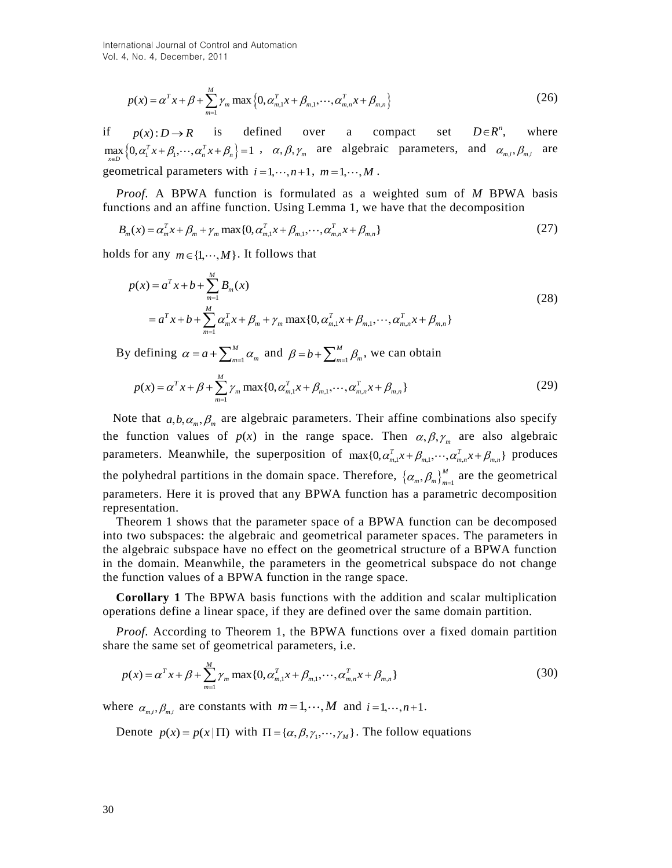$$
p(x) = \alpha^{T} x + \beta + \sum_{m=1}^{M} \gamma_{m} \max \left\{ 0, \alpha_{m,1}^{T} x + \beta_{m,1}, \cdots, \alpha_{m,n}^{T} x + \beta_{m,n} \right\}
$$
 (26)

if  $p(x): D \to R$  is defined over a compact set  $D \in R^n$ , where  $p(x): D \to K$  is defined over a compact set  $D \in K$ , where  $\max_{x \in D} \{0, \alpha_1^T x + \beta_1, \dots, \alpha_n^T x + \beta_n\} = 1$ ,  $\alpha, \beta, \gamma_m$  are algebraic parameters, and  $\alpha_{m,i}, \beta_{m,i}$  are geometrical parameters with  $i = 1, \dots, n+1, m = 1, \dots, M$ .

*Proof.* A BPWA function is formulated as a weighted sum of *M* BPWA basis functions and an affine function. Using Lemma 1, we have that the decomposition  $B_m(x) = \alpha_m^T x + \beta_m + \gamma_m \max\{0, \alpha_{m,1}^T x + \beta_{m,1}, \dots, \alpha_{m,n}^T x + \beta_{m,n}\}\$ 

$$
B_m(x) = \alpha_m^T x + \beta_m + \gamma_m \max\{0, \alpha_{m,1}^T x + \beta_{m,1}, \cdots, \alpha_{m,n}^T x + \beta_{m,n}\}\tag{27}
$$

holds for any 
$$
m \in \{1, \dots, M\}
$$
. It follows that  
\n
$$
p(x) = a^T x + b + \sum_{m=1}^{M} B_m(x)
$$
\n
$$
= a^T x + b + \sum_{m=1}^{M} \alpha_m^T x + \beta_m + \gamma_m \max\{0, \alpha_{m,1}^T x + \beta_{m,1}, \dots, \alpha_{m,n}^T x + \beta_{m,n}\}
$$
\n(28)

By defining  $\alpha = a + \sum_{m=1}^{M}$  $\alpha = a + \sum_{m=1}^{M} \alpha_m$  and  $\beta = b + \sum_{m=1}^{M}$ 

defining 
$$
\alpha = a + \sum_{m=1}^{M} \alpha_m
$$
 and  $\beta = b + \sum_{m=1}^{M} \beta_m$ , we can obtain  
\n
$$
p(x) = \alpha^T x + \beta + \sum_{m=1}^{M} \gamma_m \max\{0, \alpha_{m,1}^T x + \beta_{m,1}, \cdots, \alpha_{m,n}^T x + \beta_{m,n}\}
$$
\n(29)

 $p(x) = a^T x + \beta + \sum_{n=1}^{M} \gamma_n \max \{0, \alpha_{n,t}^T x + \beta_{n,t}, \cdots, \alpha_{n,t}^T x + \beta_{n,t} \}$ <br>
if  $p(x): D \rightarrow R$  is defined over a compare of  $p(x): D \rightarrow R$  is defined over a compare  $[0, \alpha_i^T x + \beta_i, \cdots, \alpha_n^T x + \beta_i] = 1$ ,  $\alpha, \beta, \gamma_n$  are algebraic geometri Note that  $a, b, \alpha_m, \beta_m$  are algebraic parameters. Their affine combinations also specify the function values of  $p(x)$  in the range space. Then  $\alpha, \beta, \gamma_m$  are also algebraic the function values of  $p(x)$  in the range space. Then  $\alpha, \beta, \gamma_m$  are also algebrate<br>parameters. Meanwhile, the superposition of  $\max\{0, \alpha_{m,1}^T x + \beta_{m,1}, \cdots, \alpha_{m,n}^T x + \beta_{m,n}\}$  produces the polyhedral partitions in the domain space. Therefore,  $\{\alpha_m, \beta_m\}_{m=1}^M$  $\alpha_m$ ,  $\beta_m$   $_{m=1}^M$  are the geometrical parameters. Here it is proved that any BPWA function has a parametric decomposition representation.

Theorem 1 shows that the parameter space of a BPWA function can be decomposed into two subspaces: the algebraic and geometrical parameter spaces. The parameters in the algebraic subspace have no effect on the geometrical structure of a BPWA function in the domain. Meanwhile, the parameters in the geometrical subspace do not change the function values of a BPWA function in the range space.

**Corollary 1** The BPWA basis functions with the addition and scalar multiplication operations define a linear space, if they are defined over the same domain partition.

*Proof.* According to Theorem 1, the BPWA functions over a fixed domain partition

share the same set of geometrical parameters, i.e.  
\n
$$
p(x) = \alpha^T x + \beta + \sum_{m=1}^{M} \gamma_m \max\{0, \alpha_{m,1}^T x + \beta_{m,1}, \cdots, \alpha_{m,n}^T x + \beta_{m,n}\}
$$
\n(30)

where  $\alpha_{m,i}, \beta_{m,i}$  are constants with  $m = 1, \dots, M$  and  $i = 1, \dots, n+1$ .

Denote  $p(x) = p(x | \Pi)$  with  $\Pi = \{ \alpha, \beta, \gamma_1, \dots, \gamma_M \}$ . The follow equations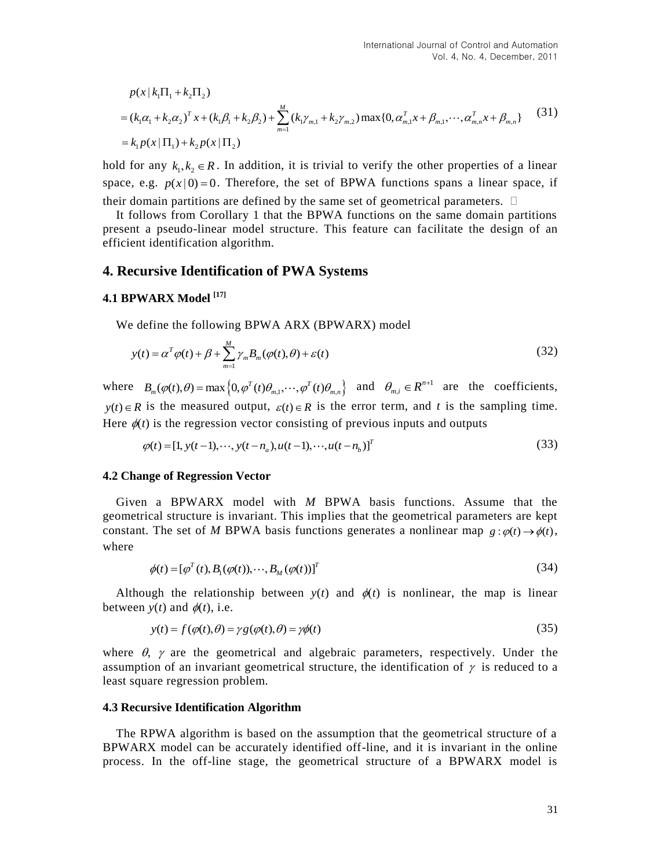International Journal of Control and Automation  
\nVol. 4, No. 4, December, 2011  
\n
$$
p(x | k_1\Pi_1 + k_2\Pi_2)
$$
\n
$$
= (k_1\alpha_1 + k_2\alpha_2)^T x + (k_1\beta_1 + k_2\beta_2) + \sum_{m=1}^{M} (k_1\gamma_{m,1} + k_2\gamma_{m,2}) \max\{0, \alpha_{m,1}^T x + \beta_{m,1}, \cdots, \alpha_{m,n}^T x + \beta_{m,n}\}
$$
(31)  
\n
$$
= k_1 p(x | \Pi_1) + k_2 p(x | \Pi_2)
$$

hold for any  $k_1, k_2 \in \mathbb{R}$ . In addition, it is trivial to verify the other properties of a linear space, e.g.  $p(x|0) = 0$ . Therefore, the set of BPWA functions spans a linear space, if their domain partitions are defined by the same set of geometrical parameters.  $\Box$ 

It follows from Corollary 1 that the BPWA functions on the same domain partitions present a pseudo-linear model structure. This feature can facilitate the design of an efficient identification algorithm.

### **4. Recursive Identification of PWA Systems**

### **4.1 BPWARX Model [17]**

We define the following BPWA ARX (BPWARX) model

$$
y(t) = \alpha^T \varphi(t) + \beta + \sum_{m=1}^{M} \gamma_m B_m(\varphi(t), \theta) + \varepsilon(t)
$$
\n(32)

where  $B_m(\varphi(t), \theta) = \max\left\{0, \varphi^T(t)\theta_{m,1}, \cdots, \varphi^T(t)\theta_{m,n}\right\}$  and  $\theta_{m,i} \in R^{n+1}$  are the coefficients,  $y(t) \in R$  is the measured output,  $\varepsilon(t) \in R$  is the error term, and *t* is the sampling time. Here  $\phi(t)$  is the regression vector consisting of previous inputs and outputs  $\phi(t) = [1, y(t-1), \dots, y(t-n_a), u(t-1), \dots, u(t-n_b)]^T$  (33)

$$
\varphi(t) = [1, y(t-1), \cdots, y(t-n_a), u(t-1), \cdots, u(t-n_b)]^T
$$
\n(33)

#### **4.2 Change of Regression Vector**

Given a BPWARX model with *M* BPWA basis functions. Assume that the geometrical structure is invariant. This implies that the geometrical parameters are kept constant. The set of M BPWA basis functions generates a nonlinear map  $g: \varphi(t) \to \phi(t)$ , where

$$
\phi(t) = [\varphi^T(t), B_1(\varphi(t)), \cdots, B_M(\varphi(t))]^T
$$
\n(34)

Although the relationship between  $y(t)$  and  $\phi(t)$  is nonlinear, the map is linear between  $y(t)$  and  $\phi(t)$ , i.e.

$$
y(t) \text{ and } \varphi(t), \text{ i.e.}
$$
  

$$
y(t) = f(\varphi(t), \theta) = \gamma g(\varphi(t), \theta) = \gamma \phi(t)
$$
 (35)

where  $\theta$ ,  $\gamma$  are the geometrical and algebraic parameters, respectively. Under the assumption of an invariant geometrical structure, the identification of  $\gamma$  is reduced to a least square regression problem.

#### **4.3 Recursive Identification Algorithm**

The RPWA algorithm is based on the assumption that the geometrical structure of a BPWARX model can be accurately identified off-line, and it is invariant in the online process. In the off-line stage, the geometrical structure of a BPWARX model is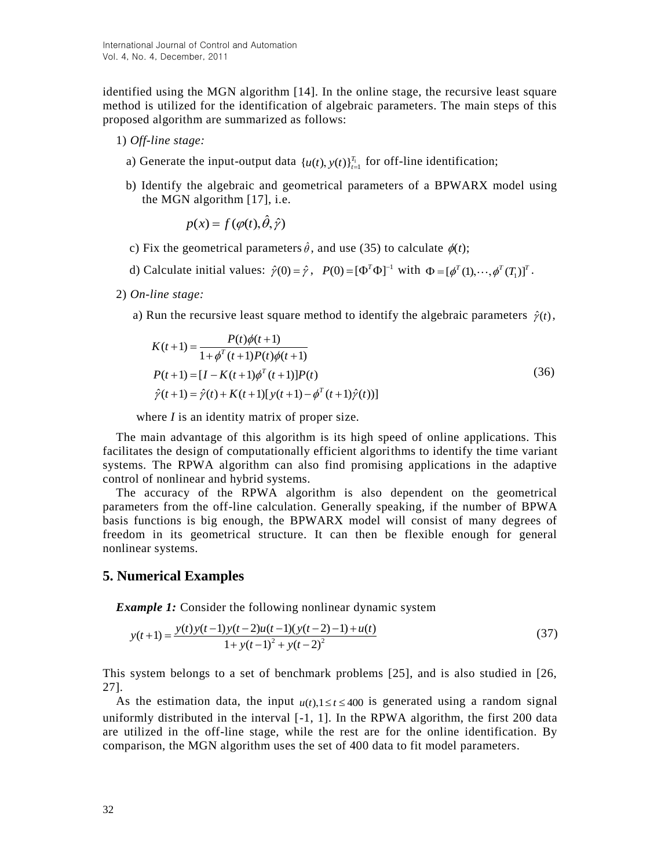identified using the MGN algorithm [14]. In the online stage, the recursive least square method is utilized for the identification of algebraic parameters. The main steps of this proposed algorithm are summarized as follows:

- 1) *Off-line stage:*
- a) Generate the input-output data  $\{u(t), y(t)\}_{t=1}^{T_1}$  for off-line identification;
	- b) Identify the algebraic and geometrical parameters of a BPWARX model using the MGN algorithm [17], i.e.

 $p(x) = f(\varphi(t), \hat{\theta}, \hat{\gamma})$ 

- c) Fix the geometrical parameters  $\hat{\theta}$ , and use (35) to calculate  $\phi(t)$ ;
- d) Calculate initial values:  $\hat{\gamma}(0) = \hat{\gamma}$ ,  $P(0) = [\Phi^T \Phi]^{-1}$  with  $\Phi = [\phi^T(1), \cdots, \phi^T(T_1)]^T$ .
- 2) *On-line stage:*
	-

a) Run the recursive least square method to identify the algebraic parameters 
$$
\hat{\gamma}(t)
$$
,  
\n
$$
K(t+1) = \frac{P(t)\phi(t+1)}{1+\phi^T(t+1)P(t)\phi(t+1)}
$$
\n
$$
P(t+1) = [I - K(t+1)\phi^T(t+1)]P(t)
$$
\n
$$
\hat{\gamma}(t+1) = \hat{\gamma}(t) + K(t+1)[y(t+1) - \phi^T(t+1)\hat{\gamma}(t))]
$$
\n(36)

where *I* is an identity matrix of proper size.

The main advantage of this algorithm is its high speed of online applications. This facilitates the design of computationally efficient algorithms to identify the time variant systems. The RPWA algorithm can also find promising applications in the adaptive control of nonlinear and hybrid systems.

The accuracy of the RPWA algorithm is also dependent on the geometrical parameters from the off-line calculation. Generally speaking, if the number of BPWA basis functions is big enough, the BPWARX model will consist of many degrees of freedom in its geometrical structure. It can then be flexible enough for general nonlinear systems.

### **5. Numerical Examples**

**Example 1:** Consider the following nonlinear dynamic system  

$$
y(t+1) = \frac{y(t)y(t-1)y(t-2)u(t-1)(y(t-2)-1) + u(t)}{1 + y(t-1)^2 + y(t-2)^2}
$$
(37)

This system belongs to a set of benchmark problems [25], and is also studied in [26, 27].

As the estimation data, the input  $u(t)$ ,  $1 \le t \le 400$  is generated using a random signal uniformly distributed in the interval [-1, 1]. In the RPWA algorithm, the first 200 data are utilized in the off-line stage, while the rest are for the online identification. By comparison, the MGN algorithm uses the set of 400 data to fit model parameters.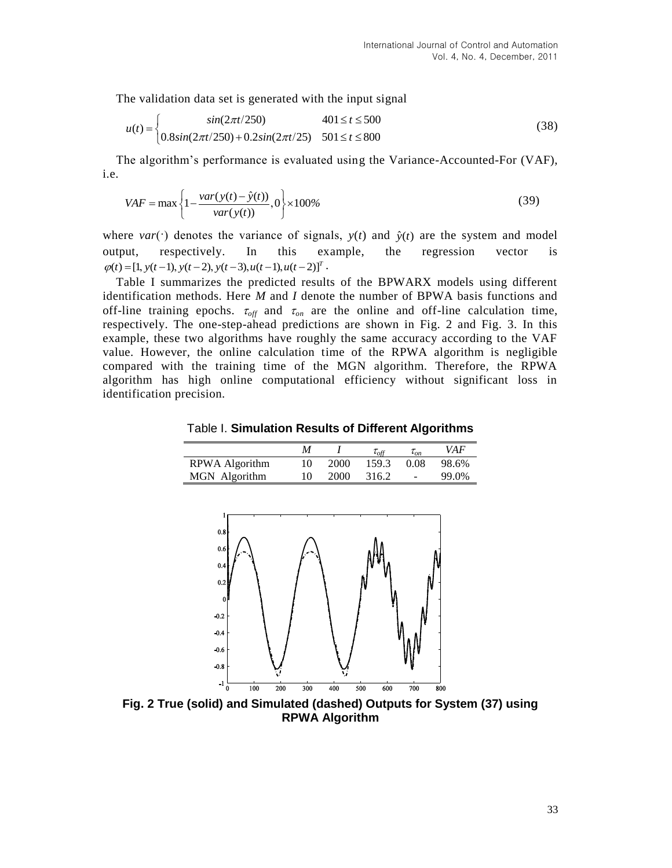The validation data set is generated with the input signal  
\n
$$
u(t) = \begin{cases}\n\sin(2\pi t/250) & 401 \le t \le 500 \\
0.8\sin(2\pi t/250) + 0.2\sin(2\pi t/25) & 501 \le t \le 800\n\end{cases}
$$
\n(38)

The algorithm's performance is evaluated using the Variance-Accounted-For (VAF), i.e.

$$
VAF = \max \left\{ 1 - \frac{var(y(t) - \hat{y}(t))}{var(y(t))}, 0 \right\} \times 100\%
$$
\n(39)

where *var*( $\cdot$ ) denotes the variance of signals, *y*(*t*) and  $\hat{y}(t)$  are the system and model output, respectively. In this example, the regression vector is  $\varphi(t) = [1, y(t-1), y(t-2), y(t-3), u(t-1), u(t-2)]^T$ .

Table I summarizes the predicted results of the BPWARX models using different identification methods. Here *M* and *I* denote the number of BPWA basis functions and off-line training epochs.  $\tau_{off}$  and  $\tau_{on}$  are the online and off-line calculation time, respectively. The one-step-ahead predictions are shown in Fig. 2 and Fig. 3. In this example, these two algorithms have roughly the same accuracy according to the VAF value. However, the online calculation time of the RPWA algorithm is negligible compared with the training time of the MGN algorithm. Therefore, the RPWA algorithm has high online computational efficiency without significant loss in identification precision.

Table I. **Simulation Results of Different Algorithms**

|                |      | $\tau_{off}$ | $\tau_{\alpha n}$ | VAF   |
|----------------|------|--------------|-------------------|-------|
| RPWA Algorithm | 2000 | 159.3        | 0.08              | 98.6% |
| MGN Algorithm  | 2000 | 316.2        | $\sim$            | 99.0% |



**Fig. 2 True (solid) and Simulated (dashed) Outputs for System (37) using RPWA Algorithm**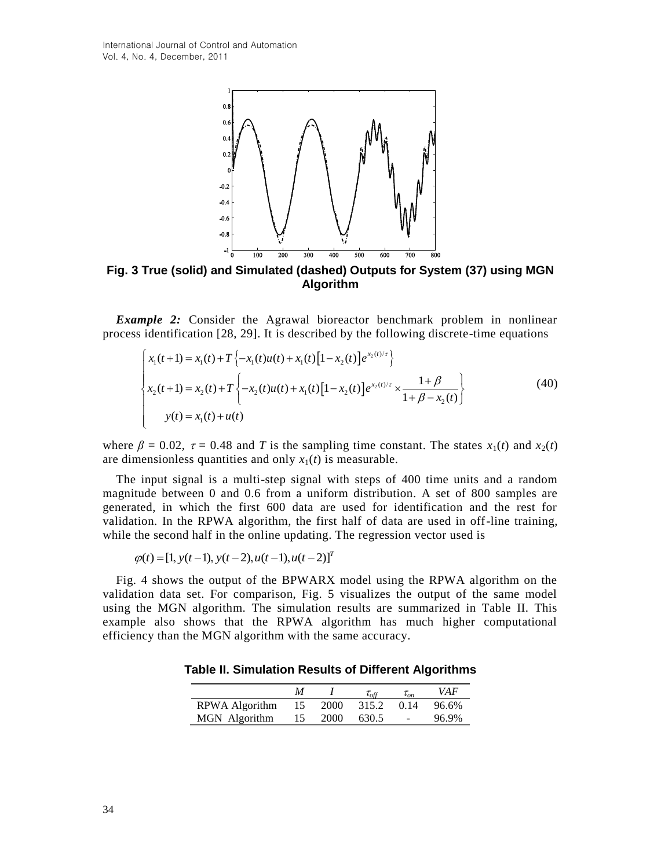

**Fig. 3 True (solid) and Simulated (dashed) Outputs for System (37) using MGN Algorithm**

*Example 2:* Consider the Agrawal bioreactor benchmark problem in nonlinear process identification [28, 29]. It is described by the following discrete-time equations  $\left[x_i(t+1) = x_i(t) + T\{-x_i(t)u(t) + x_i(t)[1-x_i(t)]e^{x_2(t)/\tau}\right\}$ e 2: Consider the Agrawal bioreact<br>entification [28, 29]. It is described by  $(t+1) = x_1(t) + T \{-x_1(t)u(t) + x_1(t)[1-x_2(t)]\}$ *x z z*: Consider the Agrawal bioreactor b identification [28, 29]. It is described by the for-<br> $x_1(t+1) = x_1(t) + T\{-x_1(t)u(t) + x_1(t)[1-x_2(t)]e^{x_2(t)}\}$ 

identification [28, 29]. It is described by the following discrete-time equations  
\n
$$
\begin{cases}\nx_1(t+1) = x_1(t) + T \{-x_1(t)u(t) + x_1(t)[1 - x_2(t)]e^{x_2(t)/\tau}\} \\
x_2(t+1) = x_2(t) + T \{-x_2(t)u(t) + x_1(t)[1 - x_2(t)]e^{x_2(t)/\tau} \times \frac{1+\beta}{1+\beta - x_2(t)}\} \\
y(t) = x_1(t) + u(t)\n\end{cases}
$$
\n(40)

where  $\beta = 0.02$ ,  $\tau = 0.48$  and *T* is the sampling time constant. The states  $x_1(t)$  and  $x_2(t)$ are dimensionless quantities and only  $x_1(t)$  is measurable.

The input signal is a multi-step signal with steps of 400 time units and a random magnitude between 0 and 0.6 from a uniform distribution. A set of 800 samples are generated, in which the first 600 data are used for identification and the rest for validation. In the RPWA algorithm, the first half of data are used in off-line training, while the second half in the online updating. The regression vector used is  $\varphi(t) = [1, y(t-1), y(t-2), u(t-1), u(t-2)]^T$ 

$$
\varphi(t) = [1, y(t-1), y(t-2), u(t-1), u(t-2)]^T
$$

Fig. 4 shows the output of the BPWARX model using the RPWA algorithm on the validation data set. For comparison, Fig. 5 visualizes the output of the same model using the MGN algorithm. The simulation results are summarized in Table II. This example also shows that the RPWA algorithm has much higher computational efficiency than the MGN algorithm with the same accuracy.

**Table II. Simulation Results of Different Algorithms**

|                |    |      | $\mathcal{L}_{off}$ | $\iota_{\alpha n}$ | VAF   |
|----------------|----|------|---------------------|--------------------|-------|
| RPWA Algorithm | 15 | 2000 | 315.2               | 0.14               | 96.6% |
| MGN Algorithm  | 15 | 2000 | 630.5               | <b>COL</b>         | 96.9% |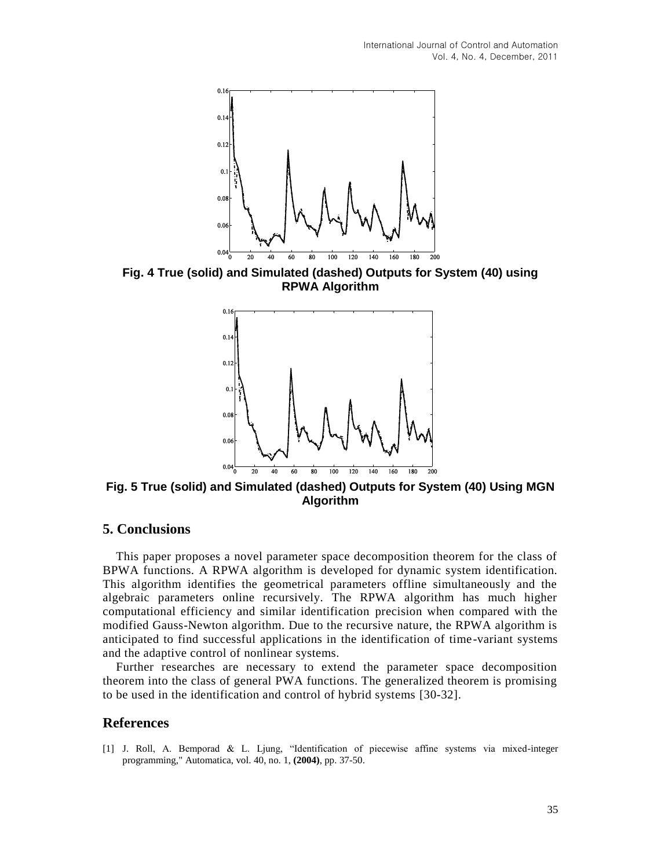

**Fig. 4 True (solid) and Simulated (dashed) Outputs for System (40) using RPWA Algorithm**



**Fig. 5 True (solid) and Simulated (dashed) Outputs for System (40) Using MGN Algorithm**

### **5. Conclusions**

This paper proposes a novel parameter space decomposition theorem for the class of BPWA functions. A RPWA algorithm is developed for dynamic system identification. This algorithm identifies the geometrical parameters offline simultaneously and the algebraic parameters online recursively. The RPWA algorithm has much higher computational efficiency and similar identification precision when compared with the modified Gauss-Newton algorithm. Due to the recursive nature, the RPWA algorithm is anticipated to find successful applications in the identification of time -variant systems and the adaptive control of nonlinear systems.

Further researches are necessary to extend the parameter space decomposition theorem into the class of general PWA functions. The generalized theorem is promising to be used in the identification and control of hybrid systems [30-32].

### **References**

[1] J. Roll, A. Bemporad & L. Ljung, "Identification of piecewise affine systems via mixed-integer programming," Automatica, vol. 40, no. 1, **(2004)**, pp. 37-50.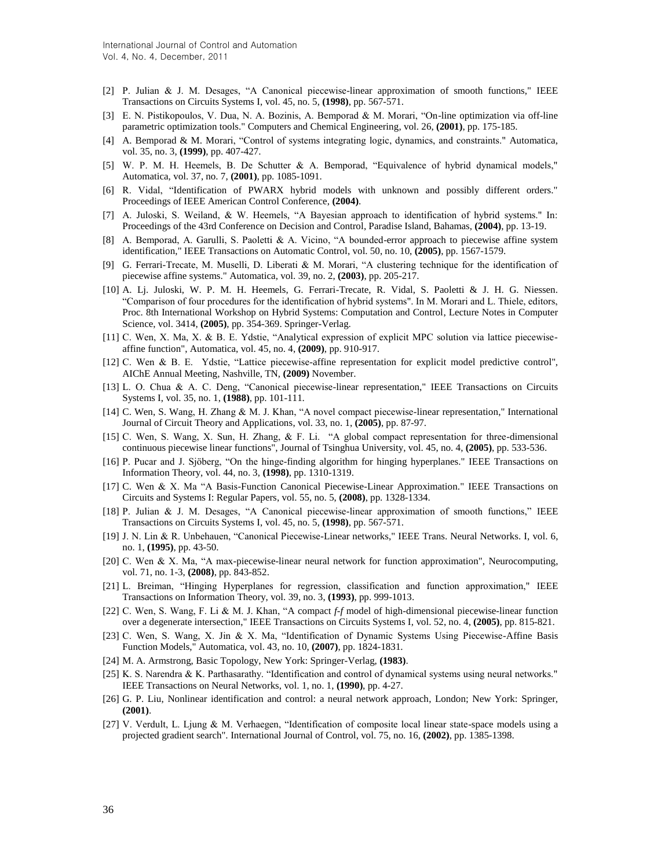- [2] P. Julian & J. M. Desages, "A Canonical piecewise-linear approximation of smooth functions," IEEE Transactions on Circuits Systems I, vol. 45, no. 5, **(1998)**, pp. 567-571.
- [3] E. N. Pistikopoulos, V. Dua, N. A. Bozinis, A. Bemporad & M. Morari, "On-line optimization via off-line parametric optimization tools." Computers and Chemical Engineering, vol. 26, **(2001)**, pp. 175-185.
- [4] A. Bemporad & M. Morari, "Control of systems integrating logic, dynamics, and constraints." Automatica, vol. 35, no. 3, **(1999)**, pp. 407-427.
- [5] W. P. M. H. Heemels, B. De Schutter & A. Bemporad, "Equivalence of hybrid dynamical models," Automatica, vol. 37, no. 7, **(2001)**, pp. 1085-1091.
- [6] R. Vidal, "Identification of PWARX hybrid models with unknown and possibly different orders." Proceedings of IEEE American Control Conference, **(2004)**.
- [7] A. Juloski, S. Weiland, & W. Heemels, "A Bayesian approach to identification of hybrid systems." In: Proceedings of the 43rd Conference on Decision and Control, Paradise Island, Bahamas, **(2004)**, pp. 13-19.
- [8] A. Bemporad, A. Garulli, S. Paoletti & A. Vicino, "A bounded-error approach to piecewise affine system identification," IEEE Transactions on Automatic Control, vol. 50, no. 10, **(2005)**, pp. 1567-1579.
- [9] G. Ferrari-Trecate, M. Muselli, D. Liberati & M. Morari, "A clustering technique for the identification of piecewise affine systems." Automatica, vol. 39, no. 2, **(2003)**, pp. 205-217.
- [10] A. Lj. Juloski, W. P. M. H. Heemels, G. Ferrari-Trecate, R. Vidal, S. Paoletti & J. H. G. Niessen. "Comparison of four procedures for the identification of hybrid systems". In M. Morari and L. Thiele, editors, Proc. 8th International Workshop on Hybrid Systems: Computation and Control, Lecture Notes in Computer Science, vol. 3414, **(2005)**, pp. 354-369. Springer-Verlag.
- [11] C. Wen, X. Ma, X. & B. E. Ydstie, "Analytical expression of explicit MPC solution via lattice piecewiseaffine function", Automatica, vol. 45, no. 4, **(2009)**, pp. 910-917.
- [12] C. Wen & B. E. Ydstie, "Lattice piecewise-affine representation for explicit model predictive control", AIChE Annual Meeting, Nashville, TN, **(2009)** November.
- [13] L. O. Chua & A. C. Deng, "Canonical piecewise-linear representation," IEEE Transactions on Circuits Systems I, vol. 35, no. 1, **(1988)**, pp. 101-111.
- [14] C. Wen, S. Wang, H. Zhang & M. J. Khan, "A novel compact piecewise-linear representation," International Journal of Circuit Theory and Applications, vol. 33, no. 1, **(2005)**, pp. 87-97.
- [15] C. Wen, S. Wang, X. Sun, H. Zhang, & F. Li. "A global compact representation for three-dimensional continuous piecewise linear functions", Journal of Tsinghua University, vol. 45, no. 4, **(2005)**, pp. 533-536.
- [16] P. Pucar and J. Sjöberg, "On the hinge-finding algorithm for hinging hyperplanes." IEEE Transactions on Information Theory, vol. 44, no. 3, **(1998)**, pp. 1310-1319.
- [17] C. Wen & X. Ma "A Basis-Function Canonical Piecewise-Linear Approximation." IEEE Transactions on Circuits and Systems I: Regular Papers, vol. 55, no. 5, **(2008)**, pp. 1328-1334.
- [18] P. Julian & J. M. Desages, "A Canonical piecewise-linear approximation of smooth functions," IEEE Transactions on Circuits Systems I, vol. 45, no. 5, **(1998)**, pp. 567-571.
- [19] J. N. Lin & R. Unbehauen, "Canonical Piecewise-Linear networks," IEEE Trans. Neural Networks. I, vol. 6, no. 1, **(1995)**, pp. 43-50.
- [20] C. Wen & X. Ma, "A max-piecewise-linear neural network for function approximation", Neurocomputing, vol. 71, no. 1-3, **(2008)**, pp. 843-852.
- [21] L. Breiman, "Hinging Hyperplanes for regression, classification and function approximation," IEEE Transactions on Information Theory, vol. 39, no. 3, **(1993)**, pp. 999-1013.
- [22] C. Wen, S. Wang, F. Li & M. J. Khan, "A compact *f-f* model of high-dimensional piecewise-linear function over a degenerate intersection," IEEE Transactions on Circuits Systems I, vol. 52, no. 4, **(2005)**, pp. 815-821.
- [23] C. Wen, S. Wang, X. Jin & X. Ma, "Identification of Dynamic Systems Using Piecewise-Affine Basis Function Models," Automatica, vol. 43, no. 10, **(2007)**, pp. 1824-1831.
- [24] M. A. Armstrong, Basic Topology, New York: Springer-Verlag, **(1983)**.
- [25] K. S. Narendra & K. Parthasarathy. "Identification and control of dynamical systems using neural networks." IEEE Transactions on Neural Networks, vol. 1, no. 1, **(1990)**, pp. 4-27.
- [26] G. P. Liu, Nonlinear identification and control: a neural network approach, London; New York: Springer, **(2001)**.
- [27] V. Verdult, L. Ljung & M. Verhaegen, "Identification of composite local linear state-space models using a projected gradient search". International Journal of Control, vol. 75, no. 16, **(2002)**, pp. 1385-1398.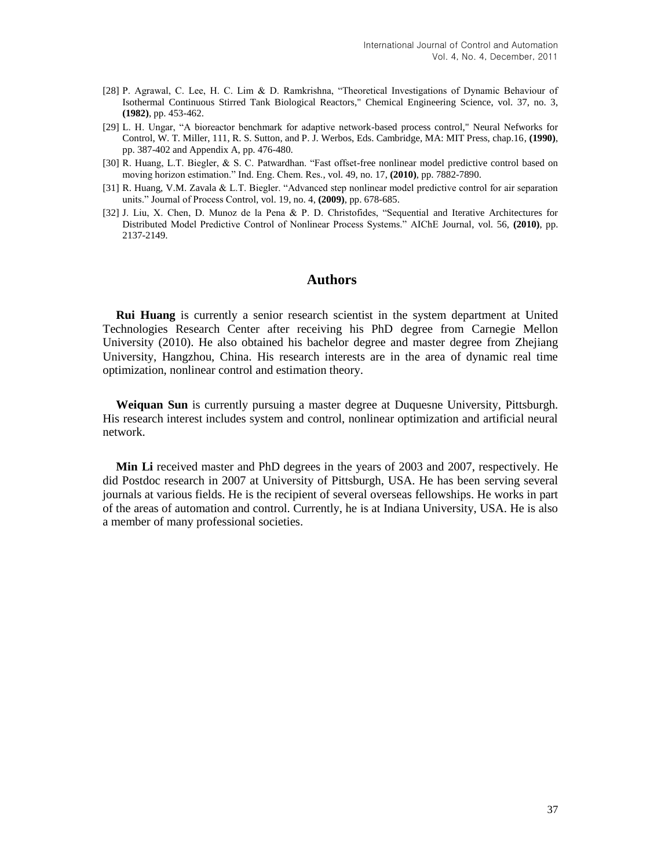- [28] P. Agrawal, C. Lee, H. C. Lim & D. Ramkrishna, "Theoretical Investigations of Dynamic Behaviour of Isothermal Continuous Stirred Tank Biological Reactors," Chemical Engineering Science, vol. 37, no. 3, **(1982)**, pp. 453-462.
- [29] L. H. Ungar, "A bioreactor benchmark for adaptive network-based process control," Neural Nefworks for Control, W. T. Miller, 111, R. S. Sutton, and P. J. Werbos, Eds. Cambridge, MA: MIT Press, chap.16, **(1990)**, pp. 387-402 and Appendix A, pp. 476-480.
- [30] R. Huang, L.T. Biegler, & S. C. Patwardhan. "Fast offset-free nonlinear model predictive control based on moving horizon estimation." Ind. Eng. Chem. Res., vol. 49, no. 17, **(2010)**, pp. 7882-7890.
- [31] R. Huang, V.M. Zavala & L.T. Biegler. "Advanced step nonlinear model predictive control for air separation units." Journal of Process Control, vol. 19, no. 4, **(2009)**, pp. 678-685.
- [32] J. Liu, X. Chen, D. Munoz de la Pena & P. D. Christofides, "Sequential and Iterative Architectures for Distributed Model Predictive Control of Nonlinear Process Systems." AIChE Journal, vol. 56, **(2010)**, pp. 2137-2149.

### **Authors**

**Rui Huang** is currently a senior research scientist in the system department at United Technologies Research Center after receiving his PhD degree from Carnegie Mellon University (2010). He also obtained his bachelor degree and master degree from Zhejiang University, Hangzhou, China. His research interests are in the area of dynamic real time optimization, nonlinear control and estimation theory.

**Weiquan Sun** is currently pursuing a master degree at Duquesne University, Pittsburgh. His research interest includes system and control, nonlinear optimization and artificial neural network.

**Min Li** received master and PhD degrees in the years of 2003 and 2007, respectively. He did Postdoc research in 2007 at University of Pittsburgh, USA. He has been serving several journals at various fields. He is the recipient of several overseas fellowships. He works in part of the areas of automation and control. Currently, he is at Indiana University, USA. He is also a member of many professional societies.